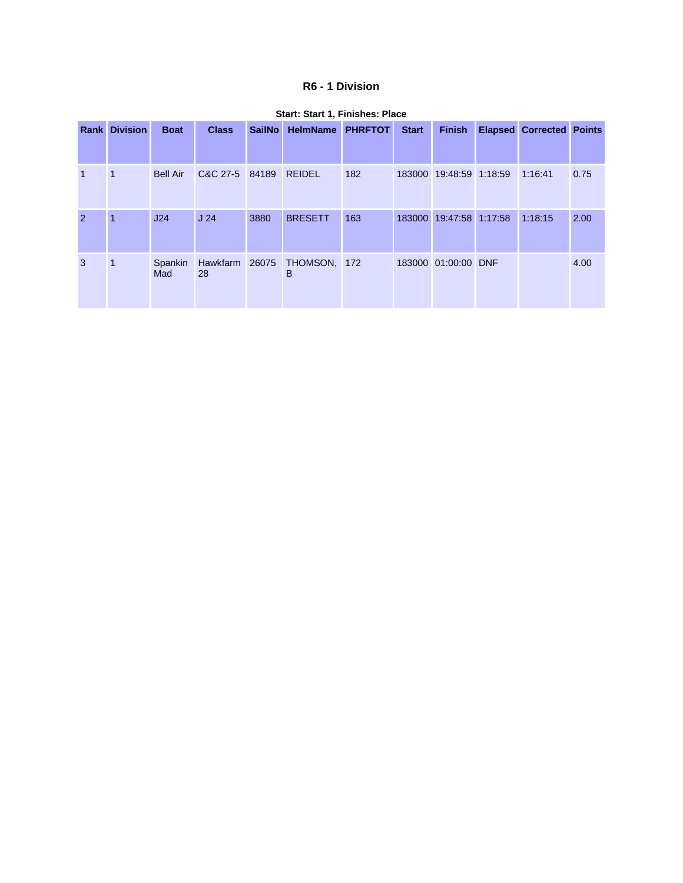## **R6 - 1 Division**

|                | <b>Rank Division</b> | <b>Boat</b>     | <b>Class</b>    | <b>SailNo</b> | <b>HelmName</b>                  | <b>PHRFTOT</b> | <b>Start</b> | <b>Finish</b>           | <b>Elapsed Corrected Points</b> |      |
|----------------|----------------------|-----------------|-----------------|---------------|----------------------------------|----------------|--------------|-------------------------|---------------------------------|------|
|                |                      |                 |                 |               |                                  |                |              |                         |                                 |      |
| 1              | 1                    | <b>Bell Air</b> | C&C 27-5 84189  |               | <b>REIDEL</b>                    | 182            |              | 183000 19:48:59 1:18:59 | 1:16:41                         | 0.75 |
| $\overline{2}$ | $\blacktriangleleft$ | J24             | J <sub>24</sub> | 3880          | <b>BRESETT</b>                   | 163            | 183000       | 19:47:58 1:17:58        | 1:18:15                         | 2.00 |
| 3              | $\mathbf{1}$         | Spankin<br>Mad  | 28              |               | Hawkfarm 26075 THOMSON, 172<br>B |                |              | 183000 01:00:00 DNF     |                                 | 4.00 |

#### **Start: Start 1, Finishes: Place**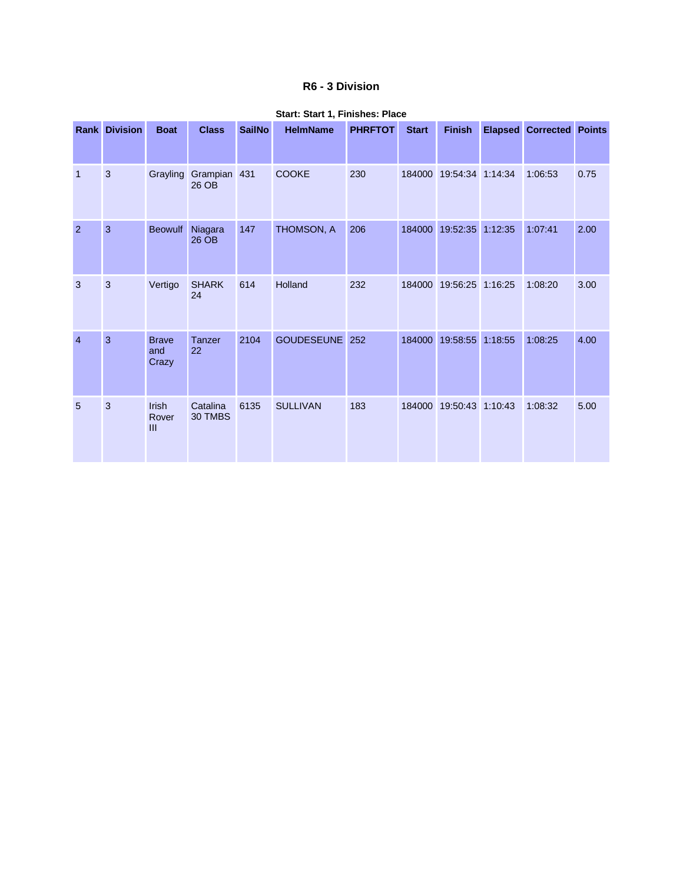## **R6 - 3 Division**

|                | <b>Rank Division</b> | <b>Boat</b>                  | <b>Class</b>        | <b>SailNo</b> | <b>HelmName</b> | <b>PHRFTOT</b> | <b>Start</b> | <b>Finish</b>    |         | <b>Elapsed Corrected Points</b> |      |
|----------------|----------------------|------------------------------|---------------------|---------------|-----------------|----------------|--------------|------------------|---------|---------------------------------|------|
| $\overline{1}$ | $\mathbf{3}$         | Grayling                     | Grampian<br>26 OB   | 431           | <b>COOKE</b>    | 230            | 184000       | 19:54:34 1:14:34 |         | 1:06:53                         | 0.75 |
| $\overline{2}$ | 3                    | <b>Beowulf</b>               | Niagara<br>26 OB    | 147           | THOMSON, A      | 206            | 184000       | 19:52:35         | 1:12:35 | 1:07:41                         | 2.00 |
| 3              | 3                    | Vertigo                      | <b>SHARK</b><br>24  | 614           | Holland         | 232            | 184000       | 19:56:25         | 1:16:25 | 1:08:20                         | 3.00 |
| $\overline{4}$ | 3                    | <b>Brave</b><br>and<br>Crazy | <b>Tanzer</b><br>22 | 2104          | GOUDESEUNE      | 252            | 184000       | 19:58:55         | 1:18:55 | 1:08:25                         | 4.00 |
| 5              | 3                    | Irish<br>Rover<br>Ш          | Catalina<br>30 TMBS | 6135          | <b>SULLIVAN</b> | 183            | 184000       | 19:50:43 1:10:43 |         | 1:08:32                         | 5.00 |

#### **Start: Start 1, Finishes: Place**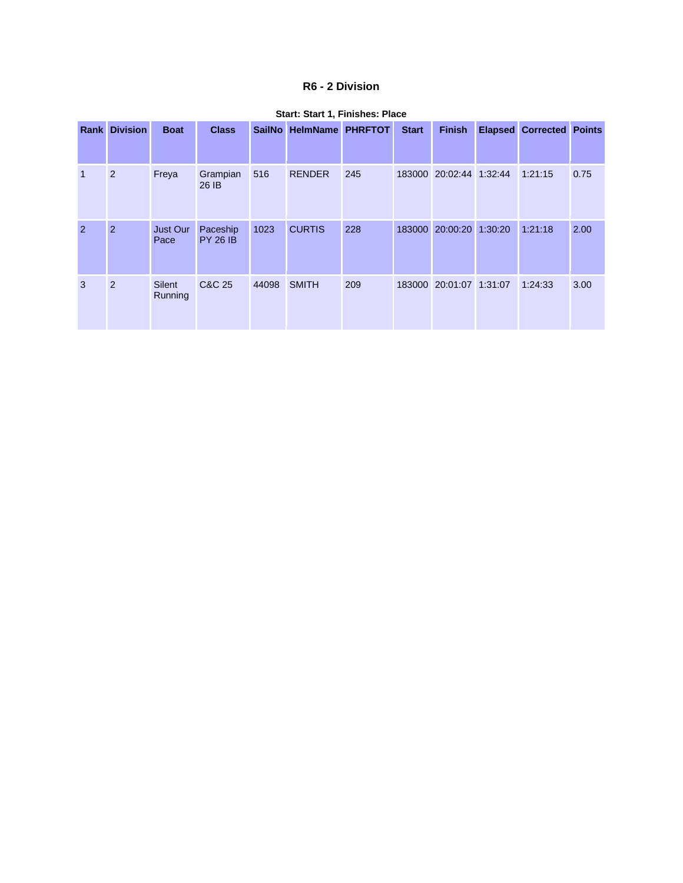## **R6 - 2 Division**

|                | <b>Rank Division</b> | <b>Boat</b>              | <b>Class</b>                |       | SailNo HelmName PHRFTOT |     | <b>Start</b> | <b>Finish</b>           | <b>Elapsed Corrected Points</b> |      |
|----------------|----------------------|--------------------------|-----------------------------|-------|-------------------------|-----|--------------|-------------------------|---------------------------------|------|
| $\mathbf{1}$   | 2                    | Freya                    | Grampian<br>26 IB           | 516   | <b>RENDER</b>           | 245 |              | 183000 20:02:44 1:32:44 | 1:21:15                         | 0.75 |
| $\overline{2}$ | $\overline{2}$       | <b>Just Our</b><br>Pace  | Paceship<br><b>PY 26 IB</b> | 1023  | <b>CURTIS</b>           | 228 | 183000       | 20:00:20 1:30:20        | 1:21:18                         | 2.00 |
| 3              | 2                    | <b>Silent</b><br>Running | C&C 25                      | 44098 | <b>SMITH</b>            | 209 | 183000       | 20:01:07 1:31:07        | 1:24:33                         | 3.00 |

#### **Start: Start 1, Finishes: Place**